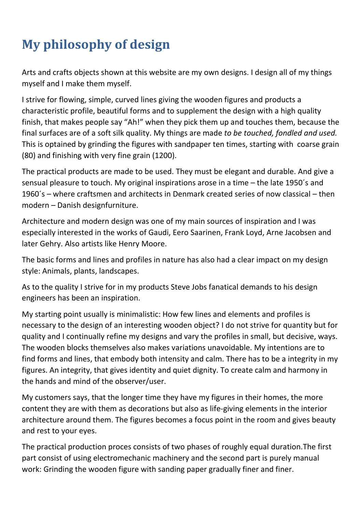## **My philosophy of design**

Arts and crafts objects shown at this website are my own designs. I design all of my things myself and I make them myself.

I strive for flowing, simple, curved lines giving the wooden figures and products a characteristic profile, beautiful forms and to supplement the design with a high quality finish, that makes people say "Ah!" when they pick them up and touches them, because the final surfaces are of a soft silk quality. My things are made *to be touched, fondled and used.* This is optained by grinding the figures with sandpaper ten times, starting with coarse grain (80) and finishing with very fine grain (1200).

The practical products are made to be used. They must be elegant and durable. And give a sensual pleasure to touch. My original inspirations arose in a time – the late 1950´s and 1960´s – where craftsmen and architects in Denmark created series of now classical – then modern – Danish designfurniture.

Architecture and modern design was one of my main sources of inspiration and I was especially interested in the works of Gaudi, Eero Saarinen, Frank Loyd, Arne Jacobsen and later Gehry. Also artists like Henry Moore.

The basic forms and lines and profiles in nature has also had a clear impact on my design style: Animals, plants, landscapes.

As to the quality I strive for in my products Steve Jobs fanatical demands to his design engineers has been an inspiration.

My starting point usually is minimalistic: How few lines and elements and profiles is necessary to the design of an interesting wooden object? I do not strive for quantity but for quality and I continually refine my designs and vary the profiles in small, but decisive, ways. The wooden blocks themselves also makes variations unavoidable. My intentions are to find forms and lines, that embody both intensity and calm. There has to be a integrity in my figures. An integrity, that gives identity and quiet dignity. To create calm and harmony in the hands and mind of the observer/user.

My customers says, that the longer time they have my figures in their homes, the more content they are with them as decorations but also as life-giving elements in the interior architecture around them. The figures becomes a focus point in the room and gives beauty and rest to your eyes.

The practical production proces consists of two phases of roughly equal duration.The first part consist of using electromechanic machinery and the second part is purely manual work: Grinding the wooden figure with sanding paper gradually finer and finer.